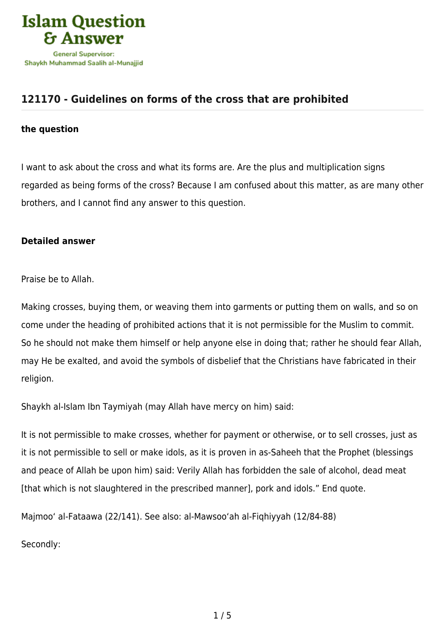

## **[121170 - Guidelines on forms of the cross that are prohibited](https://islamqa.com/en/answers/121170/guidelines-on-forms-of-the-cross-that-are-prohibited)**

## **the question**

I want to ask about the cross and what its forms are. Are the plus and multiplication signs regarded as being forms of the cross? Because I am confused about this matter, as are many other brothers, and I cannot find any answer to this question.

## **Detailed answer**

Praise be to Allah.

Making crosses, buying them, or weaving them into garments or putting them on walls, and so on come under the heading of prohibited actions that it is not permissible for the Muslim to commit. So he should not make them himself or help anyone else in doing that; rather he should fear Allah, may He be exalted, and avoid the symbols of disbelief that the Christians have fabricated in their religion.

Shaykh al-Islam Ibn Taymiyah (may Allah have mercy on him) said:

It is not permissible to make crosses, whether for payment or otherwise, or to sell crosses, just as it is not permissible to sell or make idols, as it is proven in as-Saheeh that the Prophet (blessings and peace of Allah be upon him) said: Verily Allah has forbidden the sale of alcohol, dead meat [that which is not slaughtered in the prescribed manner], pork and idols." End quote.

Majmoo' al-Fataawa (22/141). See also: al-Mawsoo'ah al-Fiqhiyyah (12/84-88)

Secondly: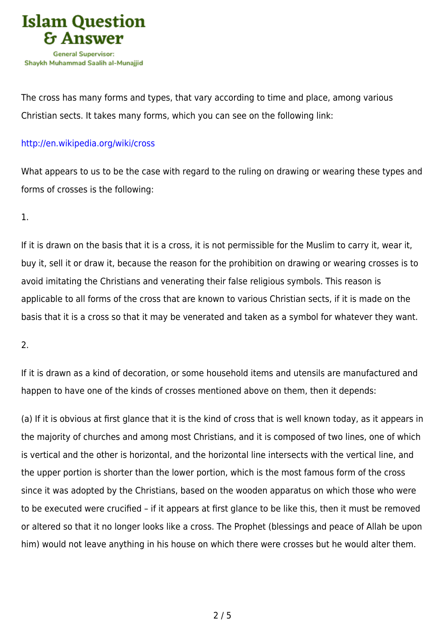

The cross has many forms and types, that vary according to time and place, among various Christian sects. It takes many forms, which you can see on the following link:

## <http://en.wikipedia.org/wiki/cross>

What appears to us to be the case with regard to the ruling on drawing or wearing these types and forms of crosses is the following:

1.

If it is drawn on the basis that it is a cross, it is not permissible for the Muslim to carry it, wear it, buy it, sell it or draw it, because the reason for the prohibition on drawing or wearing crosses is to avoid imitating the Christians and venerating their false religious symbols. This reason is applicable to all forms of the cross that are known to various Christian sects, if it is made on the basis that it is a cross so that it may be venerated and taken as a symbol for whatever they want.

2.

If it is drawn as a kind of decoration, or some household items and utensils are manufactured and happen to have one of the kinds of crosses mentioned above on them, then it depends:

(a) If it is obvious at first glance that it is the kind of cross that is well known today, as it appears in the majority of churches and among most Christians, and it is composed of two lines, one of which is vertical and the other is horizontal, and the horizontal line intersects with the vertical line, and the upper portion is shorter than the lower portion, which is the most famous form of the cross since it was adopted by the Christians, based on the wooden apparatus on which those who were to be executed were crucified – if it appears at first glance to be like this, then it must be removed or altered so that it no longer looks like a cross. The Prophet (blessings and peace of Allah be upon him) would not leave anything in his house on which there were crosses but he would alter them.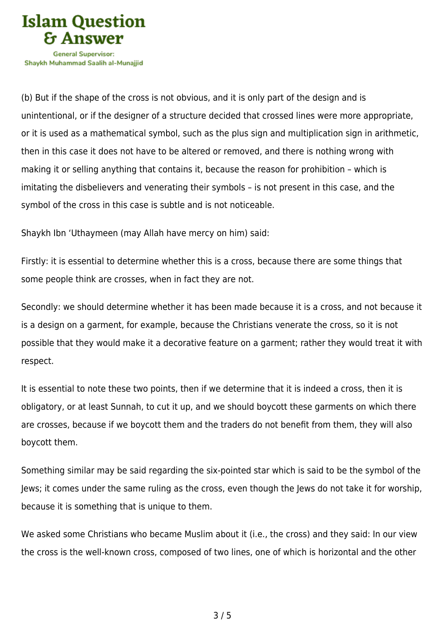

Shavkh Muhammad Saalih al-Munaiiid

(b) But if the shape of the cross is not obvious, and it is only part of the design and is unintentional, or if the designer of a structure decided that crossed lines were more appropriate, or it is used as a mathematical symbol, such as the plus sign and multiplication sign in arithmetic, then in this case it does not have to be altered or removed, and there is nothing wrong with making it or selling anything that contains it, because the reason for prohibition – which is imitating the disbelievers and venerating their symbols – is not present in this case, and the symbol of the cross in this case is subtle and is not noticeable.

Shaykh Ibn 'Uthaymeen (may Allah have mercy on him) said:

Firstly: it is essential to determine whether this is a cross, because there are some things that some people think are crosses, when in fact they are not.

Secondly: we should determine whether it has been made because it is a cross, and not because it is a design on a garment, for example, because the Christians venerate the cross, so it is not possible that they would make it a decorative feature on a garment; rather they would treat it with respect.

It is essential to note these two points, then if we determine that it is indeed a cross, then it is obligatory, or at least Sunnah, to cut it up, and we should boycott these garments on which there are crosses, because if we boycott them and the traders do not benefit from them, they will also boycott them.

Something similar may be said regarding the six-pointed star which is said to be the symbol of the Jews; it comes under the same ruling as the cross, even though the Jews do not take it for worship, because it is something that is unique to them.

We asked some Christians who became Muslim about it (i.e., the cross) and they said: In our view the cross is the well-known cross, composed of two lines, one of which is horizontal and the other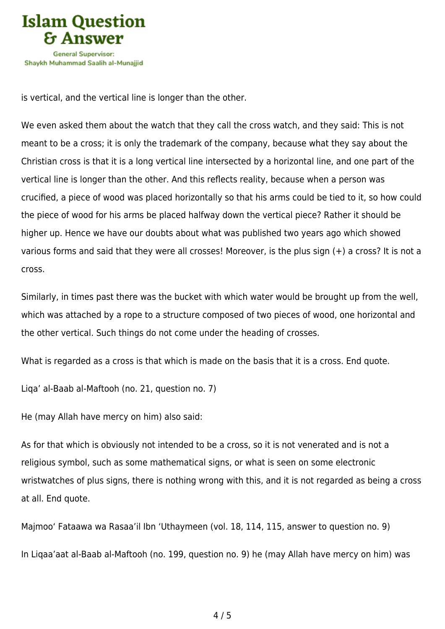

is vertical, and the vertical line is longer than the other.

We even asked them about the watch that they call the cross watch, and they said: This is not meant to be a cross; it is only the trademark of the company, because what they say about the Christian cross is that it is a long vertical line intersected by a horizontal line, and one part of the vertical line is longer than the other. And this reflects reality, because when a person was crucified, a piece of wood was placed horizontally so that his arms could be tied to it, so how could the piece of wood for his arms be placed halfway down the vertical piece? Rather it should be higher up. Hence we have our doubts about what was published two years ago which showed various forms and said that they were all crosses! Moreover, is the plus sign (+) a cross? It is not a cross.

Similarly, in times past there was the bucket with which water would be brought up from the well, which was attached by a rope to a structure composed of two pieces of wood, one horizontal and the other vertical. Such things do not come under the heading of crosses.

What is regarded as a cross is that which is made on the basis that it is a cross. End quote.

Liqa' al-Baab al-Maftooh (no. 21, question no. 7)

He (may Allah have mercy on him) also said:

As for that which is obviously not intended to be a cross, so it is not venerated and is not a religious symbol, such as some mathematical signs, or what is seen on some electronic wristwatches of plus signs, there is nothing wrong with this, and it is not regarded as being a cross at all. End quote.

Majmoo' Fataawa wa Rasaa'il Ibn 'Uthaymeen (vol. 18, 114, 115, answer to question no. 9) In Liqaa'aat al-Baab al-Maftooh (no. 199, question no. 9) he (may Allah have mercy on him) was